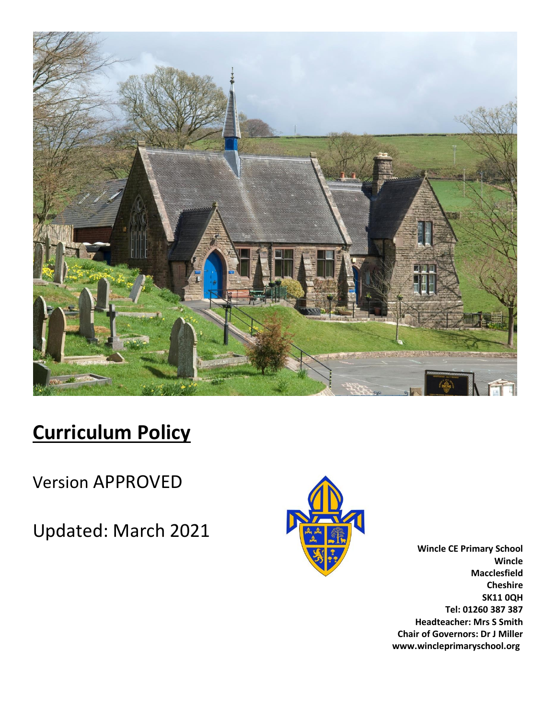

# **Curriculum Policy**

Version APPROVED

Updated: March 2021



**Wincle CE Primary School Wincle Macclesfield Cheshire SK11 0QH Tel: 01260 387 387 Headteacher: Mrs S Smith Chair of Governors: Dr J Miller www.wincleprimaryschool.org**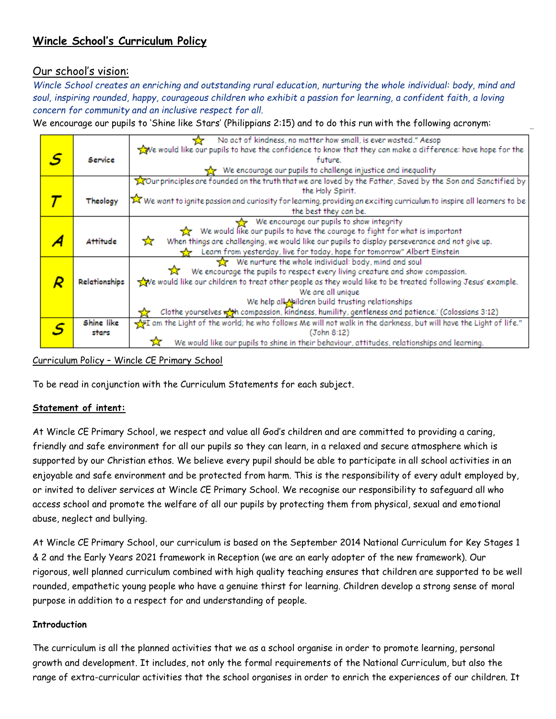# **Wincle School's Curriculum Policy**

# Our school's vision:

*Wincle School creates an enriching and outstanding rural education, nurturing the whole individual: body, mind and soul, inspiring rounded, happy, courageous children who exhibit a passion for learning, a confident faith, a loving concern for community and an inclusive respect for all.*

We encourage our pupils to 'Shine like Stars' (Philippians 2:15) and to do this run with the following acronym:

|   |               | No act of kindness, no matter how small, is ever wasted." Aesop<br>≺≻                                                  |
|---|---------------|------------------------------------------------------------------------------------------------------------------------|
| S |               | We would like our pupils to have the confidence to know that they can make a difference: have hope for the             |
|   | Service       | future.                                                                                                                |
|   |               | $\frac{1}{22}$ We encourage our pupils to challenge injustice and inequality                                           |
|   |               | Tour principles are founded on the truth that we are loved by the Father, Saved by the Son and Sanctified by           |
|   |               | the Holy Spirit.                                                                                                       |
|   | Theology      | X We want to ignite passion and curiosity for learning, providing an exciting curriculum to inspire all learners to be |
|   |               | the best they can be.                                                                                                  |
|   |               | We encourage our pupils to show integrity                                                                              |
|   |               | We would like our pupils to have the courage to fight for what is important<br><b>X</b>                                |
|   | Attitude      | When things are challenging, we would like our pupils to display perseverance and not give up.<br>☆                    |
|   |               | Learn from yesterday, live for today, hope for tomorrow" Albert Einstein                                               |
|   |               | $\frac{1}{2}$ We nurture the whole individual: body, mind and soul                                                     |
|   |               | We encourage the pupils to respect every living creature and show compassion.<br>ឃ                                     |
|   | Relationships | ve would like our children to treat other people as they would like to be treated following Jesus' example.            |
|   |               | We are all unique                                                                                                      |
|   |               | We help all Nildren build trusting relationships                                                                       |
|   |               | Clothe yourselves wat compassion, kindness, humility, gentleness and patience.' (Colossians 3:12)                      |
|   | Shine like    | If am the Light of the world; he who follows Me will not walk in the darkness, but will have the Light of life."       |
|   | stars         | (John 8:12)                                                                                                            |
|   |               | We would like our pupils to shine in their behaviour, attitudes, relationships and learning.                           |

Curriculum Policy – Wincle CE Primary School

To be read in conjunction with the Curriculum Statements for each subject.

# **Statement of intent:**

At Wincle CE Primary School, we respect and value all God's children and are committed to providing a caring, friendly and safe environment for all our pupils so they can learn, in a relaxed and secure atmosphere which is supported by our Christian ethos. We believe every pupil should be able to participate in all school activities in an enjoyable and safe environment and be protected from harm. This is the responsibility of every adult employed by, or invited to deliver services at Wincle CE Primary School. We recognise our responsibility to safeguard all who access school and promote the welfare of all our pupils by protecting them from physical, sexual and emotional abuse, neglect and bullying.

At Wincle CE Primary School, our curriculum is based on the September 2014 National Curriculum for Key Stages 1 & 2 and the Early Years 2021 framework in Reception (we are an early adopter of the new framework). Our rigorous, well planned curriculum combined with high quality teaching ensures that children are supported to be well rounded, empathetic young people who have a genuine thirst for learning. Children develop a strong sense of moral purpose in addition to a respect for and understanding of people.

#### **Introduction**

The curriculum is all the planned activities that we as a school organise in order to promote learning, personal growth and development. It includes, not only the formal requirements of the National Curriculum, but also the range of extra-curricular activities that the school organises in order to enrich the experiences of our children. It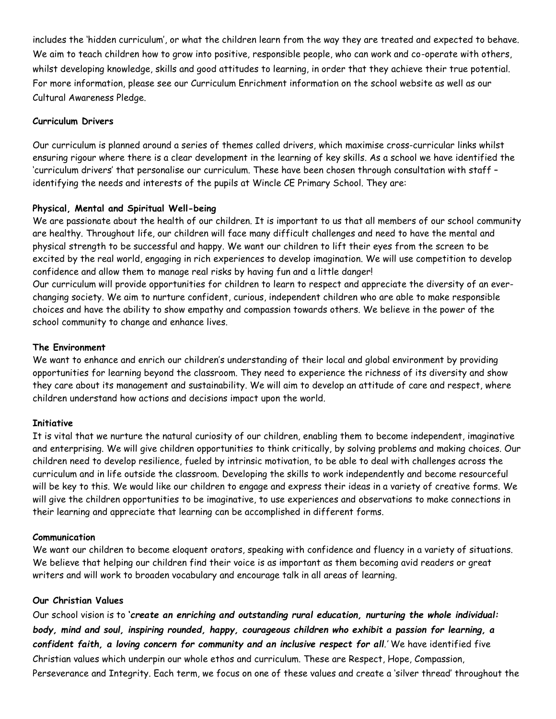includes the 'hidden curriculum', or what the children learn from the way they are treated and expected to behave. We aim to teach children how to grow into positive, responsible people, who can work and co-operate with others, whilst developing knowledge, skills and good attitudes to learning, in order that they achieve their true potential. For more information, please see our Curriculum Enrichment information on the school website as well as our Cultural Awareness Pledge.

# **Curriculum Drivers**

Our curriculum is planned around a series of themes called drivers, which maximise cross-curricular links whilst ensuring rigour where there is a clear development in the learning of key skills. As a school we have identified the 'curriculum drivers' that personalise our curriculum. These have been chosen through consultation with staff – identifying the needs and interests of the pupils at Wincle CE Primary School. They are:

# **Physical, Mental and Spiritual Well-being**

We are passionate about the health of our children. It is important to us that all members of our school community are healthy. Throughout life, our children will face many difficult challenges and need to have the mental and physical strength to be successful and happy. We want our children to lift their eyes from the screen to be excited by the real world, engaging in rich experiences to develop imagination. We will use competition to develop confidence and allow them to manage real risks by having fun and a little danger! Our curriculum will provide opportunities for children to learn to respect and appreciate the diversity of an everchanging society. We aim to nurture confident, curious, independent children who are able to make responsible choices and have the ability to show empathy and compassion towards others. We believe in the power of the school community to change and enhance lives.

#### **The Environment**

We want to enhance and enrich our children's understanding of their local and global environment by providing opportunities for learning beyond the classroom. They need to experience the richness of its diversity and show they care about its management and sustainability. We will aim to develop an attitude of care and respect, where children understand how actions and decisions impact upon the world.

#### **Initiative**

It is vital that we nurture the natural curiosity of our children, enabling them to become independent, imaginative and enterprising. We will give children opportunities to think critically, by solving problems and making choices. Our children need to develop resilience, fueled by intrinsic motivation, to be able to deal with challenges across the curriculum and in life outside the classroom. Developing the skills to work independently and become resourceful will be key to this. We would like our children to engage and express their ideas in a variety of creative forms. We will give the children opportunities to be imaginative, to use experiences and observations to make connections in their learning and appreciate that learning can be accomplished in different forms.

#### **Communication**

We want our children to become eloquent orators, speaking with confidence and fluency in a variety of situations. We believe that helping our children find their voice is as important as them becoming avid readers or great writers and will work to broaden vocabulary and encourage talk in all areas of learning.

#### **Our Christian Values**

Our school vision is to **'***create an enriching and outstanding rural education, nurturing the whole individual: body, mind and soul, inspiring rounded, happy, courageous children who exhibit a passion for learning, a*  confident faith, a loving concern for community and an inclusive respect for all.' We have identified five Christian values which underpin our whole ethos and curriculum. These are Respect, Hope, Compassion, Perseverance and Integrity. Each term, we focus on one of these values and create a 'silver thread' throughout the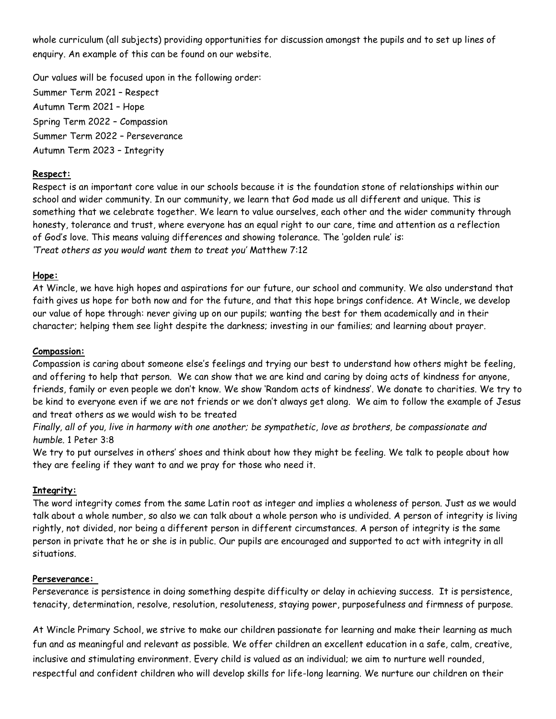whole curriculum (all subjects) providing opportunities for discussion amongst the pupils and to set up lines of enquiry. An example of this can be found on our website.

Our values will be focused upon in the following order: Summer Term 2021 – Respect Autumn Term 2021 – Hope Spring Term 2022 – Compassion Summer Term 2022 – Perseverance Autumn Term 2023 – Integrity

# **Respect:**

Respect is an important core value in our schools because it is the foundation stone of relationships within our school and wider community. In our community, we learn that God made us all different and unique. This is something that we celebrate together. We learn to value ourselves, each other and the wider community through honesty, tolerance and trust, where everyone has an equal right to our care, time and attention as a reflection of God's love. This means valuing differences and showing tolerance. The 'golden rule' is: *'Treat others as you would want them to treat you'* Matthew 7:12

# **Hope:**

At Wincle, we have high hopes and aspirations for our future, our school and community. We also understand that faith gives us hope for both now and for the future, and that this hope brings confidence. At Wincle, we develop our value of hope through: never giving up on our pupils; wanting the best for them academically and in their character; helping them see light despite the darkness; investing in our families; and learning about prayer.

#### **Compassion:**

Compassion is caring about someone else's feelings and trying our best to understand how others might be feeling, and offering to help that person. We can show that we are kind and caring by doing acts of kindness for anyone, friends, family or even people we don't know. We show 'Random acts of kindness'. We donate to charities. We try to be kind to everyone even if we are not friends or we don't always get along. We aim to follow the example of Jesus and treat others as we would wish to be treated

Finally, all of you, live in harmony with one another; be sympathetic, love as brothers, be compassionate and *humble.* 1 Peter 3:8

We try to put ourselves in others' shoes and think about how they might be feeling. We talk to people about how they are feeling if they want to and we pray for those who need it.

#### **Integrity:**

The word integrity comes from the same Latin root as integer and implies a wholeness of person. Just as we would talk about a whole number, so also we can talk about a whole person who is undivided. A person of integrity is living rightly, not divided, nor being a different person in different circumstances. A person of integrity is the same person in private that he or she is in public. Our pupils are encouraged and supported to act with integrity in all situations.

#### **Perseverance:**

Perseverance is persistence in doing something despite difficulty or delay in achieving success. It is persistence, tenacity, determination, resolve, resolution, resoluteness, staying power, purposefulness and firmness of purpose.

At Wincle Primary School, we strive to make our children passionate for learning and make their learning as much fun and as meaningful and relevant as possible. We offer children an excellent education in a safe, calm, creative, inclusive and stimulating environment. Every child is valued as an individual; we aim to nurture well rounded, respectful and confident children who will develop skills for life-long learning. We nurture our children on their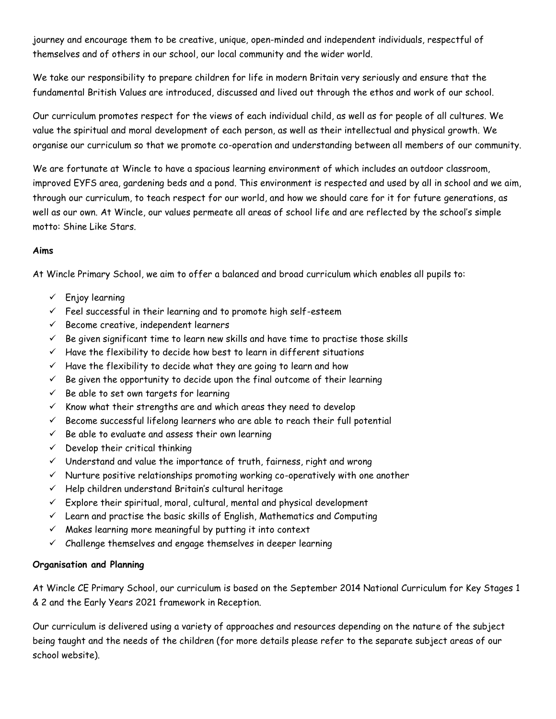journey and encourage them to be creative, unique, open-minded and independent individuals, respectful of themselves and of others in our school, our local community and the wider world.

We take our responsibility to prepare children for life in modern Britain very seriously and ensure that the fundamental British Values are introduced, discussed and lived out through the ethos and work of our school.

Our curriculum promotes respect for the views of each individual child, as well as for people of all cultures. We value the spiritual and moral development of each person, as well as their intellectual and physical growth. We organise our curriculum so that we promote co-operation and understanding between all members of our community.

We are fortunate at Wincle to have a spacious learning environment of which includes an outdoor classroom, improved EYFS area, gardening beds and a pond. This environment is respected and used by all in school and we aim, through our curriculum, to teach respect for our world, and how we should care for it for future generations, as well as our own. At Wincle, our values permeate all areas of school life and are reflected by the school's simple motto: Shine Like Stars.

# **Aims**

At Wincle Primary School, we aim to offer a balanced and broad curriculum which enables all pupils to:

- ✓ Enjoy learning
- $\checkmark$  Feel successful in their learning and to promote high self-esteem
- $\checkmark$  Become creative, independent learners
- $\checkmark$  Be given significant time to learn new skills and have time to practise those skills
- $\checkmark$  Have the flexibility to decide how best to learn in different situations
- $\checkmark$  Have the flexibility to decide what they are going to learn and how
- $\checkmark$  Be given the opportunity to decide upon the final outcome of their learning
- $\checkmark$  Be able to set own targets for learning
- $\checkmark$  Know what their strengths are and which areas they need to develop
- $\checkmark$  Become successful lifelong learners who are able to reach their full potential
- $\checkmark$  Be able to evaluate and assess their own learning
- $\checkmark$  Develop their critical thinking
- $\checkmark$  Understand and value the importance of truth, fairness, right and wrong
- $\checkmark$  Nurture positive relationships promoting working co-operatively with one another
- ✓ Help children understand Britain's cultural heritage
- $\checkmark$  Explore their spiritual, moral, cultural, mental and physical development
- $\checkmark$  Learn and practise the basic skills of English, Mathematics and Computing
- $\checkmark$  Makes learning more meaningful by putting it into context
- $\checkmark$  Challenge themselves and engage themselves in deeper learning

# **Organisation and Planning**

At Wincle CE Primary School, our curriculum is based on the September 2014 National Curriculum for Key Stages 1 & 2 and the Early Years 2021 framework in Reception.

Our curriculum is delivered using a variety of approaches and resources depending on the nature of the subject being taught and the needs of the children (for more details please refer to the separate subject areas of our school website).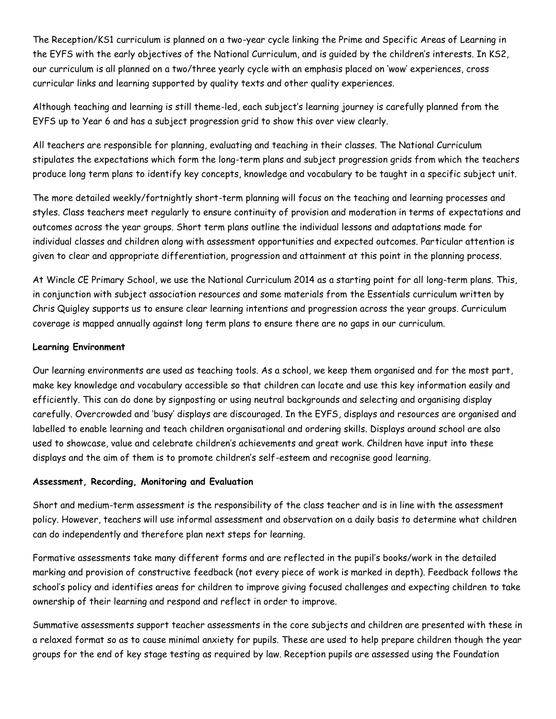The Reception/KS1 curriculum is planned on a two-year cycle linking the Prime and Specific Areas of Learning in the EYFS with the early objectives of the National Curriculum, and is guided by the children's interests. In KS2, our curriculum is all planned on a two/three yearly cycle with an emphasis placed on 'wow' experiences, cross curricular links and learning supported by quality texts and other quality experiences.

Although teaching and learning is still theme-led, each subject's learning journey is carefully planned from the EYFS up to Year 6 and has a subject progression grid to show this over view clearly.

All teachers are responsible for planning, evaluating and teaching in their classes. The National Curriculum stipulates the expectations which form the long-term plans and subject progression grids from which the teachers produce long term plans to identify key concepts, knowledge and vocabulary to be taught in a specific subject unit.

The more detailed weekly/fortnightly short-term planning will focus on the teaching and learning processes and styles. Class teachers meet regularly to ensure continuity of provision and moderation in terms of expectations and outcomes across the year groups. Short term plans outline the individual lessons and adaptations made for individual classes and children along with assessment opportunities and expected outcomes. Particular attention is given to clear and appropriate differentiation, progression and attainment at this point in the planning process.

At Wincle CE Primary School, we use the National Curriculum 2014 as a starting point for all long-term plans. This, in conjunction with subject association resources and some materials from the Essentials curriculum written by Chris Quigley supports us to ensure clear learning intentions and progression across the year groups. Curriculum coverage is mapped annually against long term plans to ensure there are no gaps in our curriculum.

# **Learning Environment**

Our learning environments are used as teaching tools. As a school, we keep them organised and for the most part, make key knowledge and vocabulary accessible so that children can locate and use this key information easily and efficiently. This can do done by signposting or using neutral backgrounds and selecting and organising display carefully. Overcrowded and 'busy' displays are discouraged. In the EYFS, displays and resources are organised and labelled to enable learning and teach children organisational and ordering skills. Displays around school are also used to showcase, value and celebrate children's achievements and great work. Children have input into these displays and the aim of them is to promote children's self-esteem and recognise good learning.

# **Assessment, Recording, Monitoring and Evaluation**

Short and medium-term assessment is the responsibility of the class teacher and is in line with the assessment policy. However, teachers will use informal assessment and observation on a daily basis to determine what children can do independently and therefore plan next steps for learning.

Formative assessments take many different forms and are reflected in the pupil's books/work in the detailed marking and provision of constructive feedback (not every piece of work is marked in depth). Feedback follows the school's policy and identifies areas for children to improve giving focused challenges and expecting children to take ownership of their learning and respond and reflect in order to improve.

Summative assessments support teacher assessments in the core subjects and children are presented with these in a relaxed format so as to cause minimal anxiety for pupils. These are used to help prepare children though the year groups for the end of key stage testing as required by law. Reception pupils are assessed using the Foundation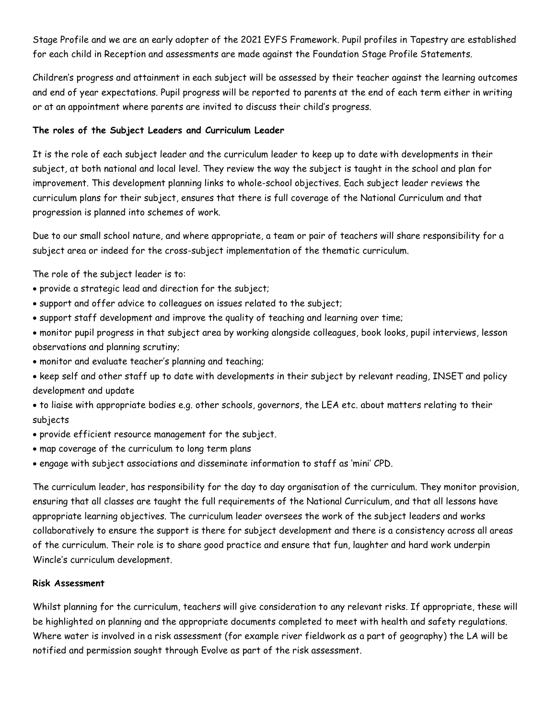Stage Profile and we are an early adopter of the 2021 EYFS Framework. Pupil profiles in Tapestry are established for each child in Reception and assessments are made against the Foundation Stage Profile Statements.

Children's progress and attainment in each subject will be assessed by their teacher against the learning outcomes and end of year expectations. Pupil progress will be reported to parents at the end of each term either in writing or at an appointment where parents are invited to discuss their child's progress.

# **The roles of the Subject Leaders and Curriculum Leader**

It is the role of each subject leader and the curriculum leader to keep up to date with developments in their subject, at both national and local level. They review the way the subject is taught in the school and plan for improvement. This development planning links to whole-school objectives. Each subject leader reviews the curriculum plans for their subject, ensures that there is full coverage of the National Curriculum and that progression is planned into schemes of work.

Due to our small school nature, and where appropriate, a team or pair of teachers will share responsibility for a subject area or indeed for the cross-subject implementation of the thematic curriculum.

The role of the subject leader is to:

- provide a strategic lead and direction for the subject;
- support and offer advice to colleagues on issues related to the subject;
- support staff development and improve the quality of teaching and learning over time;
- monitor pupil progress in that subject area by working alongside colleagues, book looks, pupil interviews, lesson observations and planning scrutiny;
- monitor and evaluate teacher's planning and teaching;
- keep self and other staff up to date with developments in their subject by relevant reading, INSET and policy development and update
- to liaise with appropriate bodies e.g. other schools, governors, the LEA etc. about matters relating to their subjects
- provide efficient resource management for the subject.
- map coverage of the curriculum to long term plans
- engage with subject associations and disseminate information to staff as 'mini' CPD.

The curriculum leader, has responsibility for the day to day organisation of the curriculum. They monitor provision, ensuring that all classes are taught the full requirements of the National Curriculum, and that all lessons have appropriate learning objectives. The curriculum leader oversees the work of the subject leaders and works collaboratively to ensure the support is there for subject development and there is a consistency across all areas of the curriculum. Their role is to share good practice and ensure that fun, laughter and hard work underpin Wincle's curriculum development.

#### **Risk Assessment**

Whilst planning for the curriculum, teachers will give consideration to any relevant risks. If appropriate, these will be highlighted on planning and the appropriate documents completed to meet with health and safety regulations. Where water is involved in a risk assessment (for example river fieldwork as a part of geography) the LA will be notified and permission sought through Evolve as part of the risk assessment.